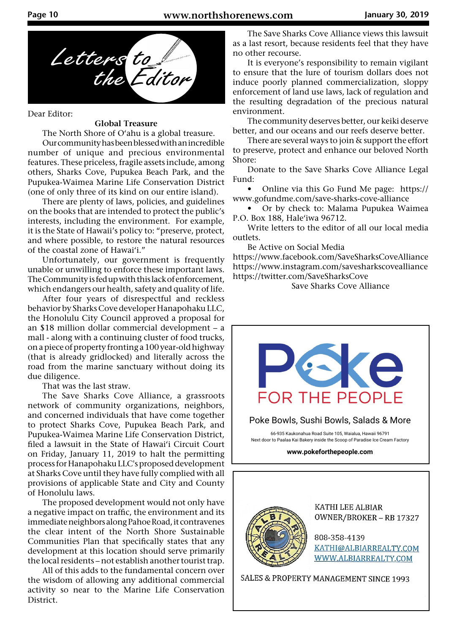

Dear Editor:

## **Global Treasure**

The North Shore of O'ahu is a global treasure.

 Our community has been blessed with an incredible number of unique and precious environmental features. These priceless, fragile assets include, among others, Sharks Cove, Pupukea Beach Park, and the Pupukea-Waimea Marine Life Conservation District (one of only three of its kind on our entire island).

 There are plenty of laws, policies, and guidelines on the books that are intended to protect the public's interests, including the environment. For example, it is the State of Hawaii's policy to: "preserve, protect, and where possible, to restore the natural resources of the coastal zone of Hawai'i."

 Unfortunately, our government is frequently unable or unwilling to enforce these important laws. The Community is fed up with this lack of enforcement, which endangers our health, safety and quality of life.

 After four years of disrespectful and reckless behavior by Sharks Cove developer Hanapohaku LLC, the Honolulu City Council approved a proposal for an \$18 million dollar commercial development – a mall - along with a continuing cluster of food trucks, on a piece of property fronting a 100 year-old highway (that is already gridlocked) and literally across the road from the marine sanctuary without doing its due diligence.

That was the last straw.

 The Save Sharks Cove Alliance, a grassroots network of community organizations, neighbors, and concerned individuals that have come together to protect Sharks Cove, Pupukea Beach Park, and Pupukea-Waimea Marine Life Conservation District, filed a lawsuit in the State of Hawai'i Circuit Court on Friday, January 11, 2019 to halt the permitting process for Hanapohaku LLC's proposed development at Sharks Cove until they have fully complied with all provisions of applicable State and City and County of Honolulu laws.

 The proposed development would not only have a negative impact on traffic, the environment and its immediate neighbors along Pahoe Road, it contravenes the clear intent of the North Shore Sustainable Communities Plan that specifically states that any development at this location should serve primarily the local residents – not establish another tourist trap.

 All of this adds to the fundamental concern over the wisdom of allowing any additional commercial activity so near to the Marine Life Conservation District.

 The Save Sharks Cove Alliance views this lawsuit as a last resort, because residents feel that they have no other recourse.

 It is everyone's responsibility to remain vigilant to ensure that the lure of tourism dollars does not induce poorly planned commercialization, sloppy enforcement of land use laws, lack of regulation and the resulting degradation of the precious natural environment.

 The community deserves better, our keiki deserve better, and our oceans and our reefs deserve better.

 There are several ways to join & support the effort to preserve, protect and enhance our beloved North Shore:

 Donate to the Save Sharks Cove Alliance Legal Fund:

 • Online via this Go Fund Me page: https:// www.gofundme.com/save-sharks-cove-alliance

 • Or by check to: Malama Pupukea Waimea P.O. Box 188, Hale'iwa 96712.

 Write letters to the editor of all our local media outlets.

Be Active on Social Media

https://www.facebook.com/SaveSharksCoveAlliance https://www.instagram.com/savesharkscovealliance https://twitter.com/SaveSharksCove

Save Sharks Cove Alliance





KATHI LEE ALBIAR OWNER/BROKER - RB 17327

808-358-4139 KATHI@ALBIARREALTY.COM WWW.ALBIARREALTY.COM

SALES & PROPERTY MANAGEMENT SINCE 1993